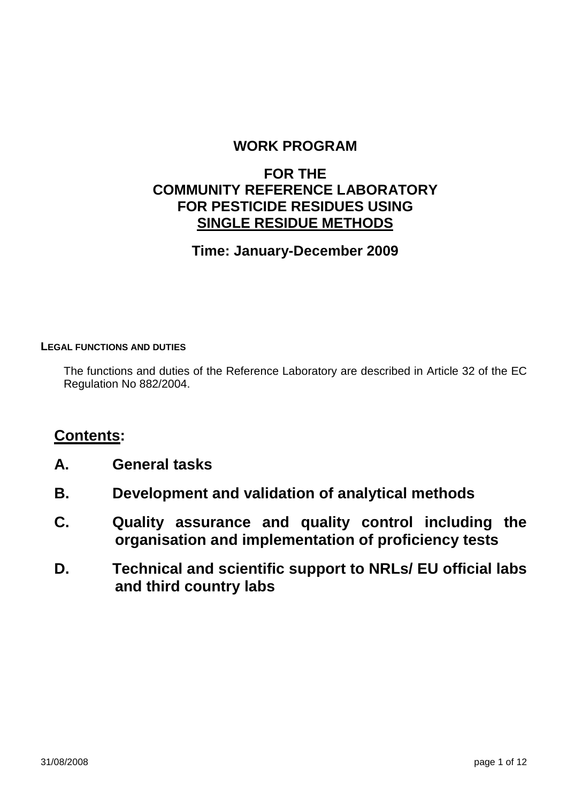#### **WORK PROGRAM**

#### **FOR THE COMMUNITY REFERENCE LABORATORY FOR PESTICIDE RESIDUES USING SINGLE RESIDUE METHODS**

#### **Time: January-December 2009**

#### **LEGAL FUNCTIONS AND DUTIES**

The functions and duties of the Reference Laboratory are described in Article 32 of the EC Regulation No 882/2004.

#### **Contents:**

- **A. General tasks**
- **B. Development and validation of analytical methods**
- **C. Quality assurance and quality control including the organisation and implementation of proficiency tests**
- **D. Technical and scientific support to NRLs/ EU official labs and third country labs**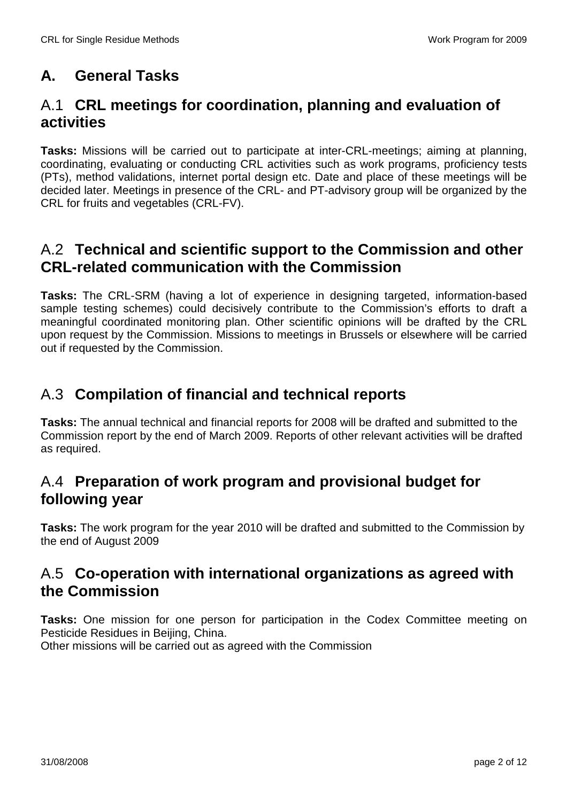## **A. General Tasks**

#### A.1 **CRL meetings for coordination, planning and evaluation of activities**

**Tasks:** Missions will be carried out to participate at inter-CRL-meetings; aiming at planning, coordinating, evaluating or conducting CRL activities such as work programs, proficiency tests (PTs), method validations, internet portal design etc. Date and place of these meetings will be decided later. Meetings in presence of the CRL- and PT-advisory group will be organized by the CRL for fruits and vegetables (CRL-FV).

#### A.2 **Technical and scientific support to the Commission and other CRL-related communication with the Commission**

**Tasks:** The CRL-SRM (having a lot of experience in designing targeted, information-based sample testing schemes) could decisively contribute to the Commission's efforts to draft a meaningful coordinated monitoring plan. Other scientific opinions will be drafted by the CRL upon request by the Commission. Missions to meetings in Brussels or elsewhere will be carried out if requested by the Commission.

## A.3 **Compilation of financial and technical reports**

**Tasks:** The annual technical and financial reports for 2008 will be drafted and submitted to the Commission report by the end of March 2009. Reports of other relevant activities will be drafted as required.

### A.4 **Preparation of work program and provisional budget for following year**

**Tasks:** The work program for the year 2010 will be drafted and submitted to the Commission by the end of August 2009

#### A.5 **Co-operation with international organizations as agreed with the Commission**

**Tasks:** One mission for one person for participation in the Codex Committee meeting on Pesticide Residues in Beijing, China.

Other missions will be carried out as agreed with the Commission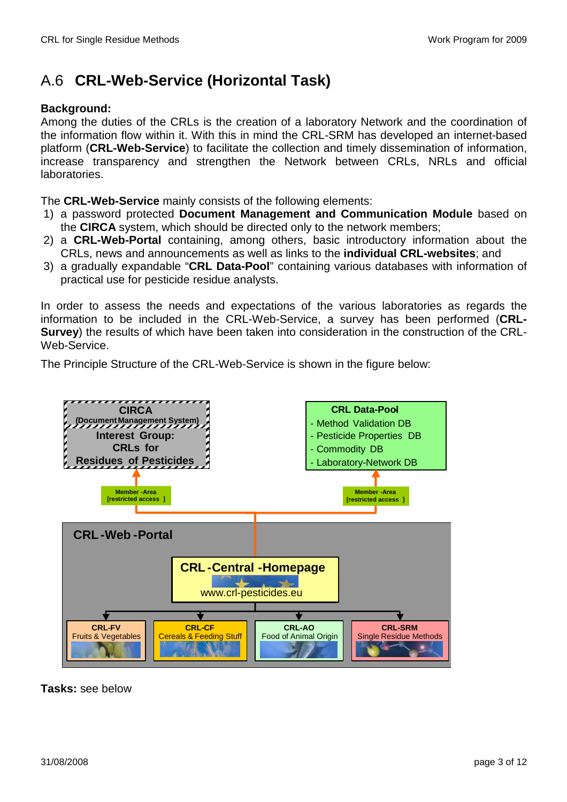# A.6 **CRL-Web-Service (Horizontal Task)**

#### **Background:**

Among the duties of the CRLs is the creation of a laboratory Network and the coordination of the information flow within it. With this in mind the CRL-SRM has developed an internet-based platform (**CRL-Web-Service**) to facilitate the collection and timely dissemination of information, increase transparency and strengthen the Network between CRLs, NRLs and official laboratories.

The **CRL-Web-Service** mainly consists of the following elements:

- 1) a password protected **Document Management and Communication Module** based on the **CIRCA** system, which should be directed only to the network members;
- 2) a **CRL-Web-Portal** containing, among others, basic introductory information about the CRLs, news and announcements as well as links to the **individual CRL-websites**; and
- 3) a gradually expandable "**CRL Data-Pool**" containing various databases with information of practical use for pesticide residue analysts.

In order to assess the needs and expectations of the various laboratories as regards the information to be included in the CRL-Web-Service, a survey has been performed (**CRL-Survey**) the results of which have been taken into consideration in the construction of the CRL-Web-Service.

The Principle Structure of the CRL-Web-Service is shown in the figure below:



**Tasks:** see below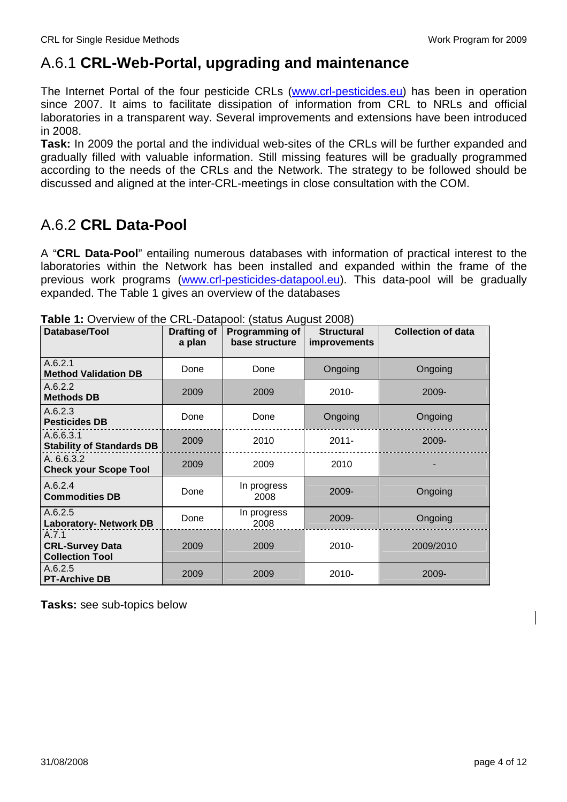## A.6.1 **CRL-Web-Portal, upgrading and maintenance**

The Internet Portal of the four pesticide CRLs (www.crl-pesticides.eu) has been in operation since 2007. It aims to facilitate dissipation of information from CRL to NRLs and official laboratories in a transparent way. Several improvements and extensions have been introduced in 2008.

**Task:** In 2009 the portal and the individual web-sites of the CRLs will be further expanded and gradually filled with valuable information. Still missing features will be gradually programmed according to the needs of the CRLs and the Network. The strategy to be followed should be discussed and aligned at the inter-CRL-meetings in close consultation with the COM.

### A.6.2 **CRL Data-Pool**

A "**CRL Data-Pool**" entailing numerous databases with information of practical interest to the laboratories within the Network has been installed and expanded within the frame of the previous work programs (www.crl-pesticides-datapool.eu). This data-pool will be gradually expanded. The Table 1 gives an overview of the databases

| Database/Tool                                             | Drafting of<br>a plan | Programming of<br>base structure | <b>Structural</b><br><i>improvements</i> | <b>Collection of data</b> |
|-----------------------------------------------------------|-----------------------|----------------------------------|------------------------------------------|---------------------------|
| A.6.2.1<br><b>Method Validation DB</b>                    | Done                  | Done                             | Ongoing                                  | Ongoing                   |
| A.6.2.2<br><b>Methods DB</b>                              | 2009                  | 2009                             | $2010 -$                                 | 2009-                     |
| A.6.2.3<br><b>Pesticides DB</b>                           | Done                  | Done                             | Ongoing                                  | Ongoing                   |
| A.6.6.3.1<br><b>Stability of Standards DB</b>             | 2009                  | 2010                             | $2011 -$                                 | 2009-                     |
| A. 6.6.3.2<br><b>Check your Scope Tool</b>                | 2009                  | 2009                             | 2010                                     |                           |
| A.6.2.4<br><b>Commodities DB</b>                          | Done                  | In progress<br>2008              | 2009-                                    | Ongoing                   |
| A.6.2.5<br><b>Laboratory- Network DB</b>                  | Done                  | In progress<br>2008              | 2009-                                    | Ongoing                   |
| A.7.1<br><b>CRL-Survey Data</b><br><b>Collection Tool</b> | 2009                  | 2009                             | $2010 -$                                 | 2009/2010                 |
| A.6.2.5<br><b>PT-Archive DB</b>                           | 2009                  | 2009                             | 2010-                                    | 2009-                     |

**Tasks:** see sub-topics below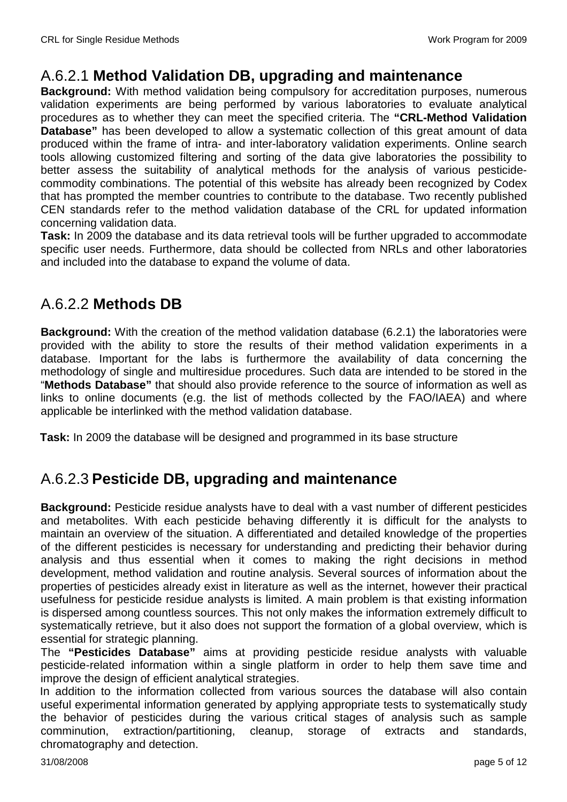#### A.6.2.1 **Method Validation DB, upgrading and maintenance**

**Background:** With method validation being compulsory for accreditation purposes, numerous validation experiments are being performed by various laboratories to evaluate analytical procedures as to whether they can meet the specified criteria. The **"CRL-Method Validation Database**" has been developed to allow a systematic collection of this great amount of data produced within the frame of intra- and inter-laboratory validation experiments. Online search tools allowing customized filtering and sorting of the data give laboratories the possibility to better assess the suitability of analytical methods for the analysis of various pesticidecommodity combinations. The potential of this website has already been recognized by Codex that has prompted the member countries to contribute to the database. Two recently published CEN standards refer to the method validation database of the CRL for updated information concerning validation data.

**Task:** In 2009 the database and its data retrieval tools will be further upgraded to accommodate specific user needs. Furthermore, data should be collected from NRLs and other laboratories and included into the database to expand the volume of data.

### A.6.2.2 **Methods DB**

**Background:** With the creation of the method validation database (6.2.1) the laboratories were provided with the ability to store the results of their method validation experiments in a database. Important for the labs is furthermore the availability of data concerning the methodology of single and multiresidue procedures. Such data are intended to be stored in the "**Methods Database"** that should also provide reference to the source of information as well as links to online documents (e.g. the list of methods collected by the FAO/IAEA) and where applicable be interlinked with the method validation database.

**Task:** In 2009 the database will be designed and programmed in its base structure

## A.6.2.3 **Pesticide DB, upgrading and maintenance**

**Background:** Pesticide residue analysts have to deal with a vast number of different pesticides and metabolites. With each pesticide behaving differently it is difficult for the analysts to maintain an overview of the situation. A differentiated and detailed knowledge of the properties of the different pesticides is necessary for understanding and predicting their behavior during analysis and thus essential when it comes to making the right decisions in method development, method validation and routine analysis. Several sources of information about the properties of pesticides already exist in literature as well as the internet, however their practical usefulness for pesticide residue analysts is limited. A main problem is that existing information is dispersed among countless sources. This not only makes the information extremely difficult to systematically retrieve, but it also does not support the formation of a global overview, which is essential for strategic planning.

The **"Pesticides Database"** aims at providing pesticide residue analysts with valuable pesticide-related information within a single platform in order to help them save time and improve the design of efficient analytical strategies.

In addition to the information collected from various sources the database will also contain useful experimental information generated by applying appropriate tests to systematically study the behavior of pesticides during the various critical stages of analysis such as sample comminution, extraction/partitioning, cleanup, storage of extracts and standards, chromatography and detection.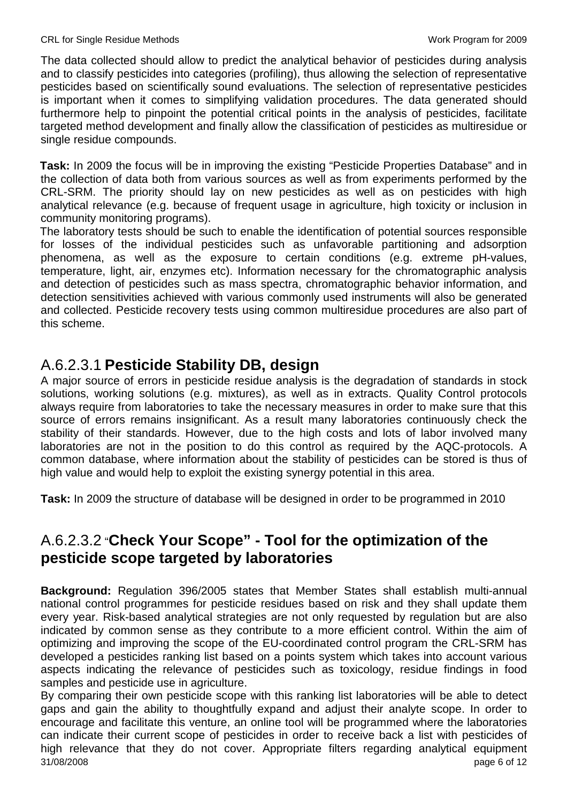The data collected should allow to predict the analytical behavior of pesticides during analysis and to classify pesticides into categories (profiling), thus allowing the selection of representative pesticides based on scientifically sound evaluations. The selection of representative pesticides is important when it comes to simplifying validation procedures. The data generated should furthermore help to pinpoint the potential critical points in the analysis of pesticides, facilitate targeted method development and finally allow the classification of pesticides as multiresidue or single residue compounds.

**Task:** In 2009 the focus will be in improving the existing "Pesticide Properties Database" and in the collection of data both from various sources as well as from experiments performed by the CRL-SRM. The priority should lay on new pesticides as well as on pesticides with high analytical relevance (e.g. because of frequent usage in agriculture, high toxicity or inclusion in community monitoring programs).

The laboratory tests should be such to enable the identification of potential sources responsible for losses of the individual pesticides such as unfavorable partitioning and adsorption phenomena, as well as the exposure to certain conditions (e.g. extreme pH-values, temperature, light, air, enzymes etc). Information necessary for the chromatographic analysis and detection of pesticides such as mass spectra, chromatographic behavior information, and detection sensitivities achieved with various commonly used instruments will also be generated and collected. Pesticide recovery tests using common multiresidue procedures are also part of this scheme.

#### A.6.2.3.1 **Pesticide Stability DB, design**

A major source of errors in pesticide residue analysis is the degradation of standards in stock solutions, working solutions (e.g. mixtures), as well as in extracts. Quality Control protocols always require from laboratories to take the necessary measures in order to make sure that this source of errors remains insignificant. As a result many laboratories continuously check the stability of their standards. However, due to the high costs and lots of labor involved many laboratories are not in the position to do this control as required by the AQC-protocols. A common database, where information about the stability of pesticides can be stored is thus of high value and would help to exploit the existing synergy potential in this area.

**Task:** In 2009 the structure of database will be designed in order to be programmed in 2010

### A.6.2.3.2 "**Check Your Scope" - Tool for the optimization of the pesticide scope targeted by laboratories**

**Background:** Regulation 396/2005 states that Member States shall establish multi-annual national control programmes for pesticide residues based on risk and they shall update them every year. Risk-based analytical strategies are not only requested by regulation but are also indicated by common sense as they contribute to a more efficient control. Within the aim of optimizing and improving the scope of the EU-coordinated control program the CRL-SRM has developed a pesticides ranking list based on a points system which takes into account various aspects indicating the relevance of pesticides such as toxicology, residue findings in food samples and pesticide use in agriculture.

31/08/2008 page 6 of 12 By comparing their own pesticide scope with this ranking list laboratories will be able to detect gaps and gain the ability to thoughtfully expand and adjust their analyte scope. In order to encourage and facilitate this venture, an online tool will be programmed where the laboratories can indicate their current scope of pesticides in order to receive back a list with pesticides of high relevance that they do not cover. Appropriate filters regarding analytical equipment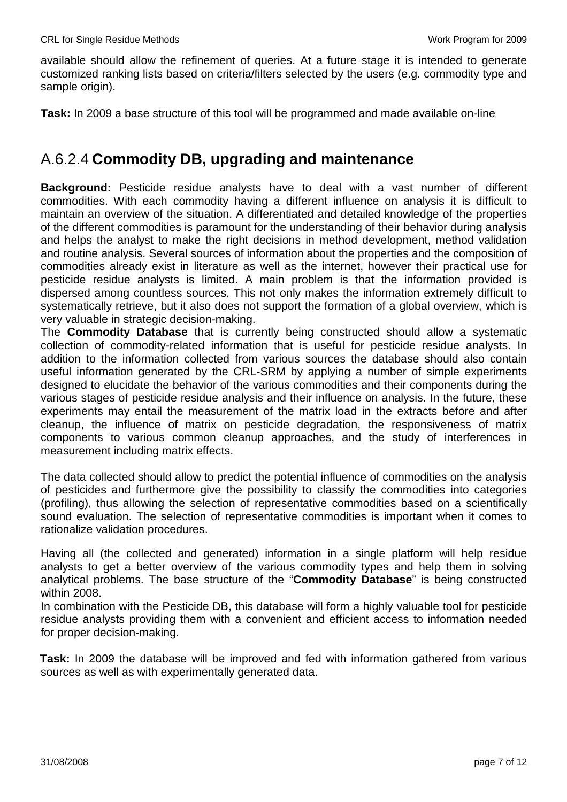available should allow the refinement of queries. At a future stage it is intended to generate customized ranking lists based on criteria/filters selected by the users (e.g. commodity type and sample origin).

**Task:** In 2009 a base structure of this tool will be programmed and made available on-line

#### A.6.2.4 **Commodity DB, upgrading and maintenance**

**Background:** Pesticide residue analysts have to deal with a vast number of different commodities. With each commodity having a different influence on analysis it is difficult to maintain an overview of the situation. A differentiated and detailed knowledge of the properties of the different commodities is paramount for the understanding of their behavior during analysis and helps the analyst to make the right decisions in method development, method validation and routine analysis. Several sources of information about the properties and the composition of commodities already exist in literature as well as the internet, however their practical use for pesticide residue analysts is limited. A main problem is that the information provided is dispersed among countless sources. This not only makes the information extremely difficult to systematically retrieve, but it also does not support the formation of a global overview, which is very valuable in strategic decision-making.

The **Commodity Database** that is currently being constructed should allow a systematic collection of commodity-related information that is useful for pesticide residue analysts. In addition to the information collected from various sources the database should also contain useful information generated by the CRL-SRM by applying a number of simple experiments designed to elucidate the behavior of the various commodities and their components during the various stages of pesticide residue analysis and their influence on analysis. In the future, these experiments may entail the measurement of the matrix load in the extracts before and after cleanup, the influence of matrix on pesticide degradation, the responsiveness of matrix components to various common cleanup approaches, and the study of interferences in measurement including matrix effects.

The data collected should allow to predict the potential influence of commodities on the analysis of pesticides and furthermore give the possibility to classify the commodities into categories (profiling), thus allowing the selection of representative commodities based on a scientifically sound evaluation. The selection of representative commodities is important when it comes to rationalize validation procedures.

Having all (the collected and generated) information in a single platform will help residue analysts to get a better overview of the various commodity types and help them in solving analytical problems. The base structure of the "**Commodity Database**" is being constructed within 2008.

In combination with the Pesticide DB, this database will form a highly valuable tool for pesticide residue analysts providing them with a convenient and efficient access to information needed for proper decision-making.

**Task:** In 2009 the database will be improved and fed with information gathered from various sources as well as with experimentally generated data.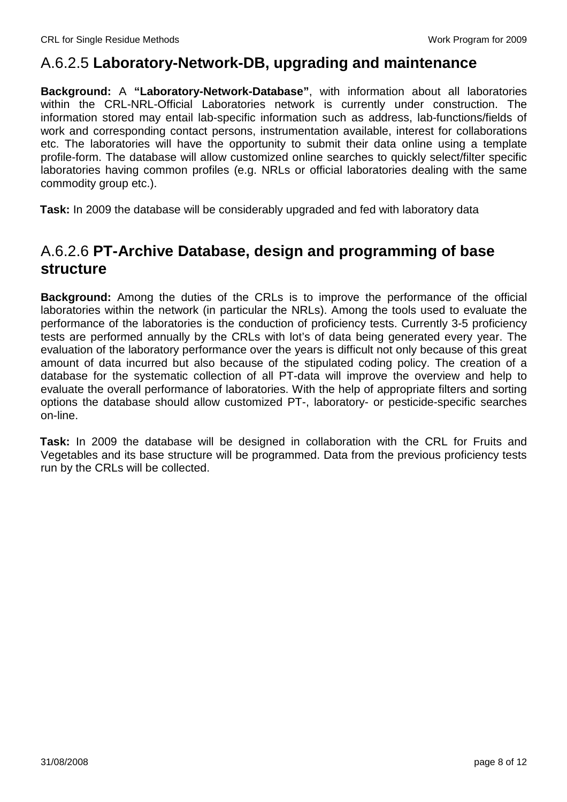#### A.6.2.5 **Laboratory-Network-DB, upgrading and maintenance**

**Background:** A **"Laboratory-Network-Database"**, with information about all laboratories within the CRL-NRL-Official Laboratories network is currently under construction. The information stored may entail lab-specific information such as address, lab-functions/fields of work and corresponding contact persons, instrumentation available, interest for collaborations etc. The laboratories will have the opportunity to submit their data online using a template profile-form. The database will allow customized online searches to quickly select/filter specific laboratories having common profiles (e.g. NRLs or official laboratories dealing with the same commodity group etc.).

**Task:** In 2009 the database will be considerably upgraded and fed with laboratory data

#### A.6.2.6 **PT-Archive Database, design and programming of base structure**

**Background:** Among the duties of the CRLs is to improve the performance of the official laboratories within the network (in particular the NRLs). Among the tools used to evaluate the performance of the laboratories is the conduction of proficiency tests. Currently 3-5 proficiency tests are performed annually by the CRLs with lot's of data being generated every year. The evaluation of the laboratory performance over the years is difficult not only because of this great amount of data incurred but also because of the stipulated coding policy. The creation of a database for the systematic collection of all PT-data will improve the overview and help to evaluate the overall performance of laboratories. With the help of appropriate filters and sorting options the database should allow customized PT-, laboratory- or pesticide-specific searches on-line.

**Task:** In 2009 the database will be designed in collaboration with the CRL for Fruits and Vegetables and its base structure will be programmed. Data from the previous proficiency tests run by the CRLs will be collected.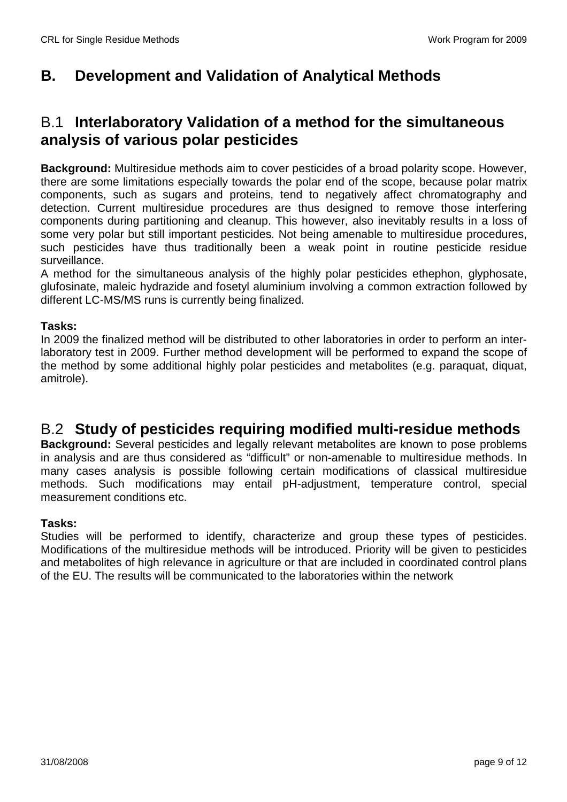## **B. Development and Validation of Analytical Methods**

#### B.1 **Interlaboratory Validation of a method for the simultaneous analysis of various polar pesticides**

**Background:** Multiresidue methods aim to cover pesticides of a broad polarity scope. However, there are some limitations especially towards the polar end of the scope, because polar matrix components, such as sugars and proteins, tend to negatively affect chromatography and detection. Current multiresidue procedures are thus designed to remove those interfering components during partitioning and cleanup. This however, also inevitably results in a loss of some very polar but still important pesticides. Not being amenable to multiresidue procedures, such pesticides have thus traditionally been a weak point in routine pesticide residue surveillance.

A method for the simultaneous analysis of the highly polar pesticides ethephon, glyphosate, glufosinate, maleic hydrazide and fosetyl aluminium involving a common extraction followed by different LC-MS/MS runs is currently being finalized.

#### **Tasks:**

In 2009 the finalized method will be distributed to other laboratories in order to perform an interlaboratory test in 2009. Further method development will be performed to expand the scope of the method by some additional highly polar pesticides and metabolites (e.g. paraquat, diquat, amitrole).

#### B.2 **Study of pesticides requiring modified multi-residue methods**

**Background:** Several pesticides and legally relevant metabolites are known to pose problems in analysis and are thus considered as "difficult" or non-amenable to multiresidue methods. In many cases analysis is possible following certain modifications of classical multiresidue methods. Such modifications may entail pH-adjustment, temperature control, special measurement conditions etc.

#### **Tasks:**

Studies will be performed to identify, characterize and group these types of pesticides. Modifications of the multiresidue methods will be introduced. Priority will be given to pesticides and metabolites of high relevance in agriculture or that are included in coordinated control plans of the EU. The results will be communicated to the laboratories within the network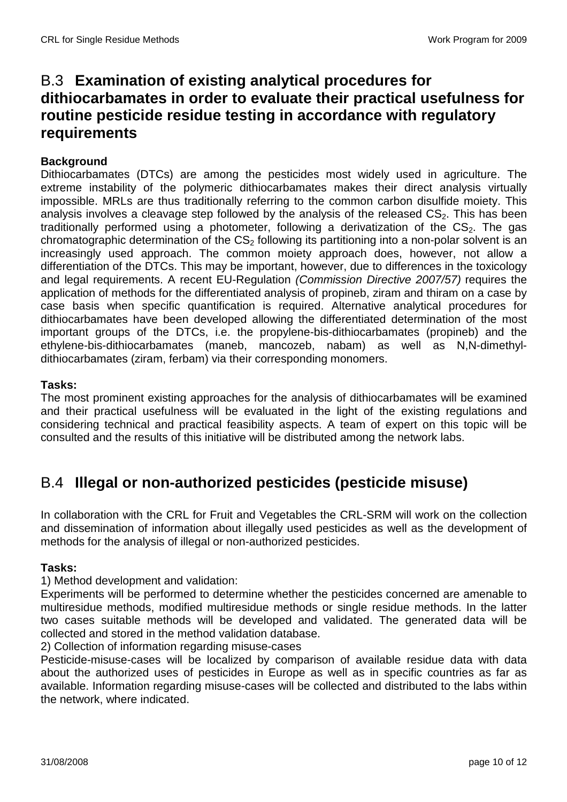#### B.3 **Examination of existing analytical procedures for dithiocarbamates in order to evaluate their practical usefulness for routine pesticide residue testing in accordance with regulatory requirements**

#### **Background**

Dithiocarbamates (DTCs) are among the pesticides most widely used in agriculture. The extreme instability of the polymeric dithiocarbamates makes their direct analysis virtually impossible. MRLs are thus traditionally referring to the common carbon disulfide moiety. This analysis involves a cleavage step followed by the analysis of the released  $CS<sub>2</sub>$ . This has been traditionally performed using a photometer, following a derivatization of the  $CS<sub>2</sub>$ . The gas chromatographic determination of the  $CS<sub>2</sub>$  following its partitioning into a non-polar solvent is an increasingly used approach. The common moiety approach does, however, not allow a differentiation of the DTCs. This may be important, however, due to differences in the toxicology and legal requirements. A recent EU-Regulation (Commission Directive 2007/57) requires the application of methods for the differentiated analysis of propineb, ziram and thiram on a case by case basis when specific quantification is required. Alternative analytical procedures for dithiocarbamates have been developed allowing the differentiated determination of the most important groups of the DTCs, i.e. the propylene-bis-dithiocarbamates (propineb) and the ethylene-bis-dithiocarbamates (maneb, mancozeb, nabam) as well as N,N-dimethyldithiocarbamates (ziram, ferbam) via their corresponding monomers.

#### **Tasks:**

The most prominent existing approaches for the analysis of dithiocarbamates will be examined and their practical usefulness will be evaluated in the light of the existing regulations and considering technical and practical feasibility aspects. A team of expert on this topic will be consulted and the results of this initiative will be distributed among the network labs.

#### B.4 **Illegal or non-authorized pesticides (pesticide misuse)**

In collaboration with the CRL for Fruit and Vegetables the CRL-SRM will work on the collection and dissemination of information about illegally used pesticides as well as the development of methods for the analysis of illegal or non-authorized pesticides.

#### **Tasks:**

1) Method development and validation:

Experiments will be performed to determine whether the pesticides concerned are amenable to multiresidue methods, modified multiresidue methods or single residue methods. In the latter two cases suitable methods will be developed and validated. The generated data will be collected and stored in the method validation database.

2) Collection of information regarding misuse-cases

Pesticide-misuse-cases will be localized by comparison of available residue data with data about the authorized uses of pesticides in Europe as well as in specific countries as far as available. Information regarding misuse-cases will be collected and distributed to the labs within the network, where indicated.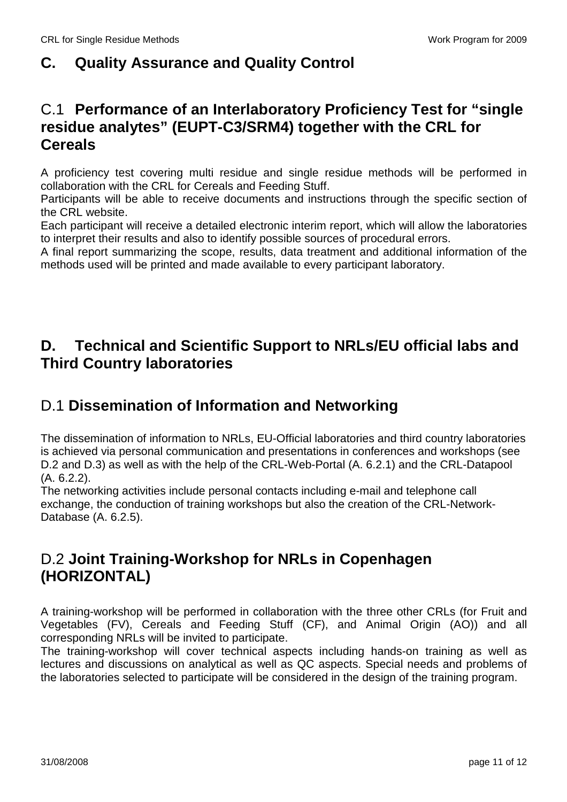# **C. Quality Assurance and Quality Control**

#### C.1 **Performance of an Interlaboratory Proficiency Test for "single residue analytes" (EUPT-C3/SRM4) together with the CRL for Cereals**

A proficiency test covering multi residue and single residue methods will be performed in collaboration with the CRL for Cereals and Feeding Stuff.

Participants will be able to receive documents and instructions through the specific section of the CRL website.

Each participant will receive a detailed electronic interim report, which will allow the laboratories to interpret their results and also to identify possible sources of procedural errors.

A final report summarizing the scope, results, data treatment and additional information of the methods used will be printed and made available to every participant laboratory.

#### **D. Technical and Scientific Support to NRLs/EU official labs and Third Country laboratories**

## D.1 **Dissemination of Information and Networking**

The dissemination of information to NRLs, EU-Official laboratories and third country laboratories is achieved via personal communication and presentations in conferences and workshops (see D.2 and D.3) as well as with the help of the CRL-Web-Portal (A. 6.2.1) and the CRL-Datapool (A. 6.2.2).

The networking activities include personal contacts including e-mail and telephone call exchange, the conduction of training workshops but also the creation of the CRL-Network-Database (A. 6.2.5).

### D.2 **Joint Training-Workshop for NRLs in Copenhagen (HORIZONTAL)**

A training-workshop will be performed in collaboration with the three other CRLs (for Fruit and Vegetables (FV), Cereals and Feeding Stuff (CF), and Animal Origin (AO)) and all corresponding NRLs will be invited to participate.

The training-workshop will cover technical aspects including hands-on training as well as lectures and discussions on analytical as well as QC aspects. Special needs and problems of the laboratories selected to participate will be considered in the design of the training program.